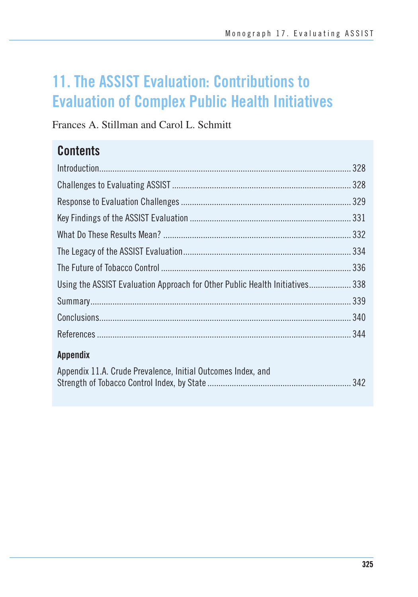# **11. The ASSIST Evaluation: Contributions to Evaluation of Complex Public Health Initiatives**

Frances A. Stillman and Carol L. Schmitt

# **Contents**

| Using the ASSIST Evaluation Approach for Other Public Health Initiatives 338 |
|------------------------------------------------------------------------------|
|                                                                              |
|                                                                              |
|                                                                              |
| <b>Appendix</b>                                                              |
| Appendix 11.A. Crude Prevalence, Initial Outcomes Index, and                 |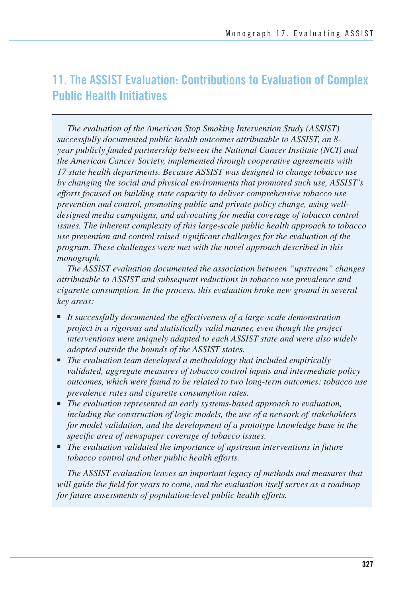# **11. The ASSIST Evaluation: Contributions to Evaluation of Complex Public Health Initiatives**

*The evaluation of the American Stop Smoking Intervention Study (ASSIST) successfully documented public health outcomes attributable to ASSIST, an 8 year publicly funded partnership between the National Cancer Institute (NCI) and the American Cancer Society, implemented through cooperative agreements with 17 state health departments. Because ASSIST was designed to change tobacco use by changing the social and physical environments that promoted such use, ASSIST's efforts focused on building state capacity to deliver comprehensive tobacco use prevention and control, promoting public and private policy change, using welldesigned media campaigns, and advocating for media coverage of tobacco control issues. The inherent complexity of this large-scale public health approach to tobacco use prevention and control raised significant challenges for the evaluation of the program. These challenges were met with the novel approach described in this monograph.* 

*The ASSIST evaluation documented the association between "upstream" changes attributable to ASSIST and subsequent reductions in tobacco use prevalence and cigarette consumption. In the process, this evaluation broke new ground in several key areas:* 

- *It successfully documented the effectiveness of a large-scale demonstration project in a rigorous and statistically valid manner, even though the project interventions were uniquely adapted to each ASSIST state and were also widely adopted outside the bounds of the ASSIST states.*
- *The evaluation team developed a methodology that included empirically validated, aggregate measures of tobacco control inputs and intermediate policy outcomes, which were found to be related to two long-term outcomes: tobacco use prevalence rates and cigarette consumption rates.*
- *The evaluation represented an early systems-based approach to evaluation, including the construction of logic models, the use of a network of stakeholders for model validation, and the development of a prototype knowledge base in the specific area of newspaper coverage of tobacco issues.*
- The evaluation validated the importance of upstream interventions in future *tobacco control and other public health efforts.*

*The ASSIST evaluation leaves an important legacy of methods and measures that will guide the field for years to come, and the evaluation itself serves as a roadmap for future assessments of population-level public health efforts.*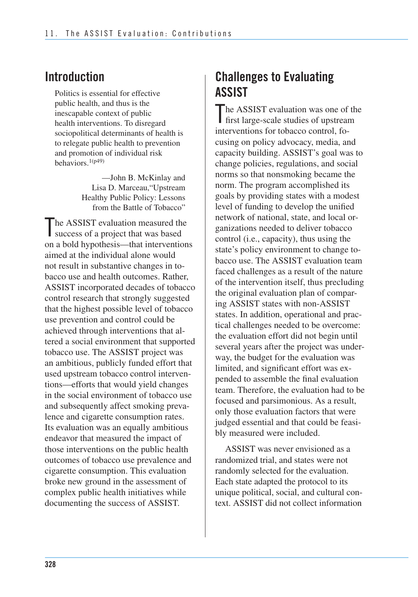### **Introduction**

Politics is essential for effective public health, and thus is the inescapable context of public health interventions. To disregard sociopolitical determinants of health is to relegate public health to prevention and promotion of individual risk behaviors.1(p49)

> —John B. McKinlay and Lisa D. Marceau,"Upstream Healthy Public Policy: Lessons from the Battle of Tobacco"

The ASSIST evaluation measured the<br>success of a project that was based The ASSIST evaluation measured the on a bold hypothesis—that interventions aimed at the individual alone would not result in substantive changes in tobacco use and health outcomes. Rather, ASSIST incorporated decades of tobacco control research that strongly suggested that the highest possible level of tobacco use prevention and control could be achieved through interventions that altered a social environment that supported tobacco use. The ASSIST project was an ambitious, publicly funded effort that used upstream tobacco control interventions—efforts that would yield changes in the social environment of tobacco use and subsequently affect smoking prevalence and cigarette consumption rates. Its evaluation was an equally ambitious endeavor that measured the impact of those interventions on the public health outcomes of tobacco use prevalence and cigarette consumption. This evaluation broke new ground in the assessment of complex public health initiatives while documenting the success of ASSIST.

# **Challenges to Evaluating ASSIST**

The ASSIST evaluation was one of the<br>first large-scale studies of upstream first large-scale studies of upstream interventions for tobacco control, focusing on policy advocacy, media, and capacity building. ASSIST's goal was to change policies, regulations, and social norms so that nonsmoking became the norm. The program accomplished its goals by providing states with a modest level of funding to develop the unified network of national, state, and local organizations needed to deliver tobacco control (i.e., capacity), thus using the state's policy environment to change tobacco use. The ASSIST evaluation team faced challenges as a result of the nature of the intervention itself, thus precluding the original evaluation plan of comparing ASSIST states with non-ASSIST states. In addition, operational and practical challenges needed to be overcome: the evaluation effort did not begin until several years after the project was underway, the budget for the evaluation was limited, and significant effort was expended to assemble the final evaluation team. Therefore, the evaluation had to be focused and parsimonious. As a result, only those evaluation factors that were judged essential and that could be feasibly measured were included.

 ASSIST was never envisioned as a randomized trial, and states were not randomly selected for the evaluation. Each state adapted the protocol to its unique political, social, and cultural con-text. ASSIST did not collect information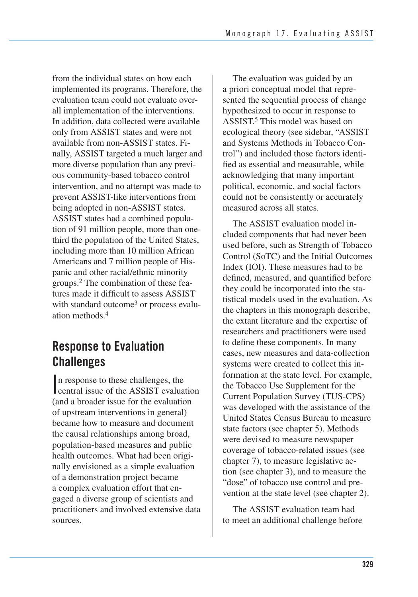from the individual states on how each implemented its programs. Therefore, the evaluation team could not evaluate over- all implementation of the interventions. In addition, data collected were available only from ASSIST states and were not available from non-ASSIST states. Fi- nally, ASSIST targeted a much larger and more diverse population than any previ- ous community-based tobacco control intervention, and no attempt was made to being adopted in non-ASSIST states. ASSIST states had a combined popula- tion of 91 million people, more than one- third the population of the United States, including more than 10 million African Americans and 7 million people of His- panic and other racial/ethnic minority groups.2 The combination of these fea- tures made it difficult to assess ASSIST with standard outcome<sup>3</sup> or process evaluprevent ASSIST-like interventions from ation methods<sup>4</sup>

# **Response to Evaluation Challenges**

In response to these challenges, the<br>central issue of the ASSIST evaluation n response to these challenges, the (and a broader issue for the evaluation of upstream interventions in general) became how to measure and document the causal relationships among broad, population-based measures and public health outcomes. What had been originally envisioned as a simple evaluation of a demonstration project became a complex evaluation effort that engaged a diverse group of scientists and practitioners and involved extensive data sources.

The evaluation was guided by an a priori conceptual model that represented the sequential process of change hypothesized to occur in response to ASSIST.5 This model was based on ecological theory (see sidebar, "ASSIST and Systems Methods in Tobacco Control") and included those factors identified as essential and measurable, while acknowledging that many important political, economic, and social factors could not be consistently or accurately measured across all states.

The ASSIST evaluation model included components that had never been used before, such as Strength of Tobacco Control (SoTC) and the Initial Outcomes Index (IOI). These measures had to be defined, measured, and quantified before they could be incorporated into the statistical models used in the evaluation. As the chapters in this monograph describe, the extant literature and the expertise of researchers and practitioners were used to define these components. In many cases, new measures and data-collection systems were created to collect this information at the state level. For example, the Tobacco Use Supplement for the Current Population Survey (TUS-CPS) was developed with the assistance of the United States Census Bureau to measure state factors (see chapter 5). Methods were devised to measure newspaper coverage of tobacco-related issues (see chapter 7), to measure legislative action (see chapter 3), and to measure the "dose" of tobacco use control and prevention at the state level (see chapter 2).

The ASSIST evaluation team had to meet an additional challenge before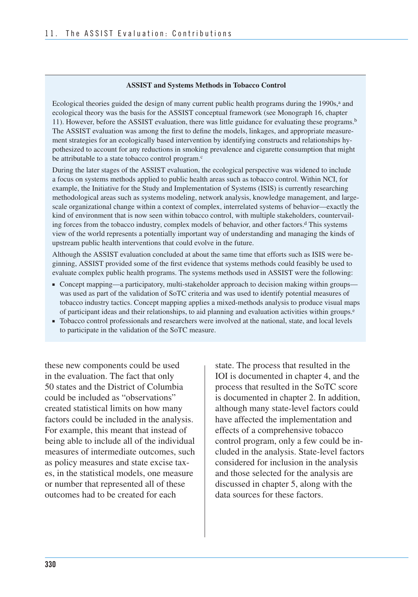#### **ASSIST and Systems Methods in Tobacco Control**

Ecological theories guided the design of many current public health programs during the 1990s,<sup>a</sup> and ecological theory was the basis for the ASSIST conceptual framework (see Monograph 16, chapter 11). However, before the ASSIST evaluation, there was little guidance for evaluating these programs.<sup>b</sup> The ASSIST evaluation was among the first to define the models, linkages, and appropriate measurement strategies for an ecologically based intervention by identifying constructs and relationships hypothesized to account for any reductions in smoking prevalence and cigarette consumption that might be attributable to a state tobacco control program.<sup>c</sup>

During the later stages of the ASSIST evaluation, the ecological perspective was widened to include a focus on systems methods applied to public health areas such as tobacco control. Within NCI, for example, the Initiative for the Study and Implementation of Systems (ISIS) is currently researching methodological areas such as systems modeling, network analysis, knowledge management, and largescale organizational change within a context of complex, interrelated systems of behavior—exactly the kind of environment that is now seen within tobacco control, with multiple stakeholders, countervailing forces from the tobacco industry, complex models of behavior, and other factors.<sup>d</sup> This systems view of the world represents a potentially important way of understanding and managing the kinds of upstream public health interventions that could evolve in the future.

Although the ASSIST evaluation concluded at about the same time that efforts such as ISIS were beginning, ASSIST provided some of the first evidence that systems methods could feasibly be used to evaluate complex public health programs. The systems methods used in ASSIST were the following:

- Concept mapping—a participatory, multi-stakeholder approach to decision making within groups was used as part of the validation of SoTC criteria and was used to identify potential measures of tobacco industry tactics. Concept mapping applies a mixed-methods analysis to produce visual maps of participant ideas and their relationships, to aid planning and evaluation activities within groups.e
- Tobacco control professionals and researchers were involved at the national, state, and local levels to participate in the validation of the SoTC measure.

these new components could be used in the evaluation. The fact that only 50 states and the District of Columbia could be included as "observations" created statistical limits on how many factors could be included in the analysis. For example, this meant that instead of being able to include all of the individual measures of intermediate outcomes, such as policy measures and state excise taxes, in the statistical models, one measure or number that represented all of these outcomes had to be created for each

state. The process that resulted in the IOI is documented in chapter 4, and the process that resulted in the SoTC score is documented in chapter 2. In addition, although many state-level factors could have affected the implementation and effects of a comprehensive tobacco control program, only a few could be included in the analysis. State-level factors considered for inclusion in the analysis and those selected for the analysis are discussed in chapter 5, along with the data sources for these factors.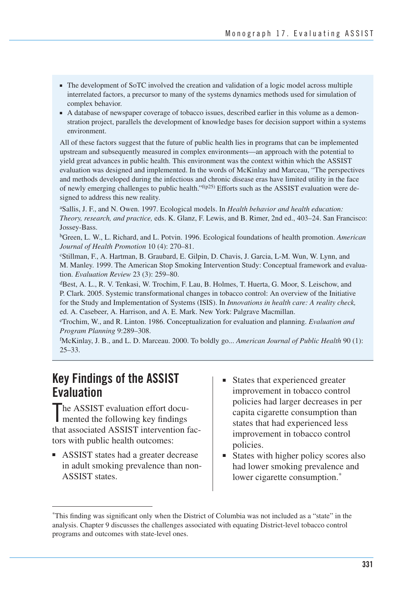- The development of SoTC involved the creation and validation of a logic model across multiple interrelated factors, a precursor to many of the systems dynamics methods used for simulation of complex behavior.
- A database of newspaper coverage of tobacco issues, described earlier in this volume as a demonstration project, parallels the development of knowledge bases for decision support within a systems environment.

All of these factors suggest that the future of public health lies in programs that can be implemented upstream and subsequently measured in complex environments—an approach with the potential to yield great advances in public health. This environment was the context within which the ASSIST evaluation was designed and implemented. In the words of McKinlay and Marceau, "The perspectives and methods developed during the infectious and chronic disease eras have limited utility in the face of newly emerging challenges to public health." $f(p25)$  Efforts such as the ASSIST evaluation were designed to address this new reality.

aSallis, J. F., and N. Owen. 1997. Ecological models. In *Health behavior and health education: Theory, research, and practice,* eds. K. Glanz, F. Lewis, and B. Rimer, 2nd ed., 403–24. San Francisco: Jossey-Bass.

bGreen, L. W., L. Richard, and L. Potvin. 1996. Ecological foundations of health promotion. *American Journal of Health Promotion* 10 (4): 270–81.

cStillman, F., A. Hartman, B. Graubard, E. Gilpin, D. Chavis, J. Garcia, L-M. Wun, W. Lynn, and M. Manley. 1999. The American Stop Smoking Intervention Study: Conceptual framework and evaluation. *Evaluation Review* 23 (3): 259–80.

dBest, A. L., R. V. Tenkasi, W. Trochim, F. Lau, B. Holmes, T. Huerta, G. Moor, S. Leischow, and P. Clark. 2005. Systemic transformational changes in tobacco control: An overview of the Initiative for the Study and Implementation of Systems (ISIS). In *Innovations in health care: A reality check,* ed. A. Casebeer, A. Harrison, and A. E. Mark. New York: Palgrave Macmillan.

eTrochim, W., and R. Linton. 1986. Conceptualization for evaluation and planning. *Evaluation and Program Planning* 9:289–308.

f McKinlay, J. B., and L. D. Marceau. 2000. To boldly go... *American Journal of Public Health* 90 (1): 25–33.

### **Key Findings of the ASSIST Evaluation**

The ASSIST evaluation effort documented the following key findings mented the following key findings that associated ASSIST intervention factors with public health outcomes:

- ASSIST states had a greater decrease in adult smoking prevalence than non-ASSIST states.
- improvement in tobacco control policies had larger decreases in per capita cigarette consumption than states that had experienced less improvement in tobacco control States that experienced greater policies.
- States with higher policy scores also had lower smoking prevalence and lower cigarette consumption.<sup>\*</sup>

This finding was significant only when the District of Columbia was not included as a "state" in the analysis. Chapter 9 discusses the challenges associated with equating District-level tobacco control programs and outcomes with state-level ones.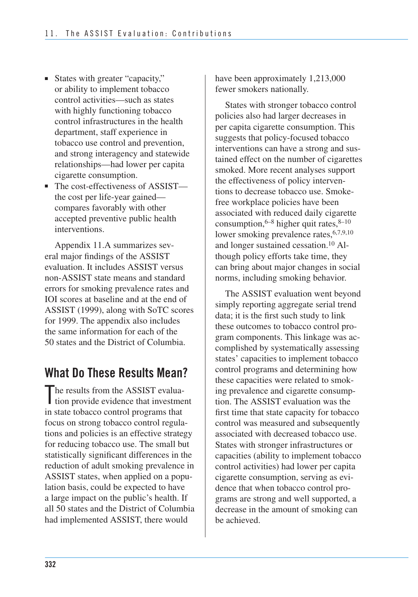- States with greater "capacity," or ability to implement tobacco control activities—such as states with highly functioning tobacco control infrastructures in the health department, staff experience in tobacco use control and prevention, and strong interagency and statewide relationships—had lower per capita cigarette consumption.
- The cost-effectiveness of ASSIST the cost per life-year gained compares favorably with other accepted preventive public health interventions.

Appendix 11.A summarizes several major findings of the ASSIST evaluation. It includes ASSIST versus non-ASSIST state means and standard errors for smoking prevalence rates and IOI scores at baseline and at the end of ASSIST (1999), along with SoTC scores for 1999. The appendix also includes the same information for each of the 50 states and the District of Columbia.

# **What Do These Results Mean?**

The results from the ASSIST evalua-<br>tion provide evidence that investment I tion provide evidence that investment in state tobacco control programs that focus on strong tobacco control regulations and policies is an effective strategy for reducing tobacco use. The small but statistically significant differences in the reduction of adult smoking prevalence in ASSIST states, when applied on a population basis, could be expected to have a large impact on the public's health. If all 50 states and the District of Columbia had implemented ASSIST, there would

have been approximately 1,213,000 fewer smokers nationally.

States with stronger tobacco control policies also had larger decreases in per capita cigarette consumption. This suggests that policy-focused tobacco interventions can have a strong and sustained effect on the number of cigarettes smoked. More recent analyses support the effectiveness of policy interventions to decrease tobacco use. Smokefree workplace policies have been associated with reduced daily cigarette consumption,  $6-8$  higher quit rates,  $8-10$ lower smoking prevalence rates, <sup>6,7,9,10</sup> and longer sustained cessation.10 Although policy efforts take time, they can bring about major changes in social norms, including smoking behavior.

The ASSIST evaluation went beyond simply reporting aggregate serial trend data; it is the first such study to link these outcomes to tobacco control program components. This linkage was accomplished by systematically assessing states' capacities to implement tobacco control programs and determining how these capacities were related to smoking prevalence and cigarette consumption. The ASSIST evaluation was the first time that state capacity for tobacco control was measured and subsequently associated with decreased tobacco use. States with stronger infrastructures or capacities (ability to implement tobacco control activities) had lower per capita cigarette consumption, serving as evidence that when tobacco control programs are strong and well supported, a decrease in the amount of smoking can be achieved.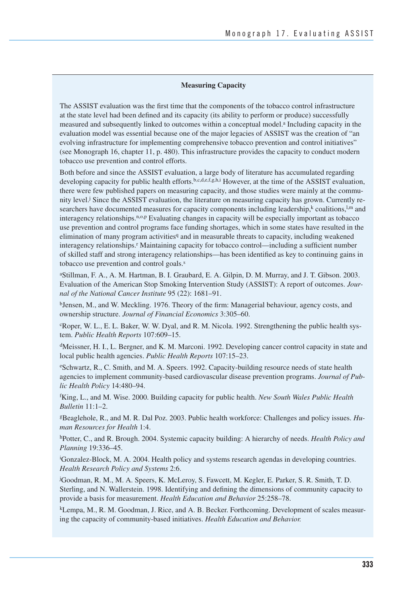#### **Measuring Capacity**

The ASSIST evaluation was the first time that the components of the tobacco control infrastructure at the state level had been defined and its capacity (its ability to perform or produce) successfully measured and subsequently linked to outcomes within a conceptual model.<sup>a</sup> Including capacity in the evaluation model was essential because one of the major legacies of ASSIST was the creation of "an evolving infrastructure for implementing comprehensive tobacco prevention and control initiatives" (see Monograph 16, chapter 11, p. 480). This infrastructure provides the capacity to conduct modern tobacco use prevention and control efforts.

Both before and since the ASSIST evaluation, a large body of literature has accumulated regarding developing capacity for public health efforts.<sup>b,c,d,e,f,g,h,i</sup> However, at the time of the ASSIST evaluation, there were few published papers on measuring capacity, and those studies were mainly at the community level.<sup>j</sup> Since the ASSIST evaluation, the literature on measuring capacity has grown. Currently researchers have documented measures for capacity components including leadership, $\frac{k}{n}$  coalitions,  $\frac{1}{n}$  and interagency relationships.<sup>n,o,p</sup> Evaluating changes in capacity will be especially important as tobacco use prevention and control programs face funding shortages, which in some states have resulted in the elimination of many program activities<sup>q</sup> and in measurable threats to capacity, including weakened interagency relationships.<sup>r</sup> Maintaining capacity for tobacco control—including a sufficient number of skilled staff and strong interagency relationships—has been identified as key to continuing gains in tobacco use prevention and control goals.<sup>s</sup>

aStillman, F. A., A. M. Hartman, B. I. Graubard, E. A. Gilpin, D. M. Murray, and J. T. Gibson. 2003. Evaluation of the American Stop Smoking Intervention Study (ASSIST): A report of outcomes. *Journal of the National Cancer Institute* 95 (22): 1681–91.

bJensen, M., and W. Meckling. 1976. Theory of the firm: Managerial behaviour, agency costs, and ownership structure. *Journal of Financial Economics* 3:305–60.

cRoper, W. L., E. L. Baker, W. W. Dyal, and R. M. Nicola. 1992. Strengthening the public health system. *Public Health Reports* 107:609–15.

dMeissner, H. I., L. Bergner, and K. M. Marconi. 1992. Developing cancer control capacity in state and local public health agencies. *Public Health Reports* 107:15–23.

eSchwartz, R., C. Smith, and M. A. Speers. 1992. Capacity-building resource needs of state health agencies to implement community-based cardiovascular disease prevention programs. *Journal of Public Health Policy* 14:480–94.

f King, L., and M. Wise. 2000. Building capacity for public health. *New South Wales Public Health Bulletin* 11:1–2.

gBeaglehole, R., and M. R. Dal Poz. 2003. Public health workforce: Challenges and policy issues. *Human Resources for Health* 1:4.

hPotter, C., and R. Brough. 2004. Systemic capacity building: A hierarchy of needs. *Health Policy and Planning* 19:336–45.

i Gonzalez-Block, M. A. 2004. Health policy and systems research agendas in developing countries. *Health Research Policy and Systems* 2:6.

j Goodman, R. M., M. A. Speers, K. McLeroy, S. Fawcett, M. Kegler, E. Parker, S. R. Smith, T. D. Sterling, and N. Wallerstein. 1998. Identifying and defining the dimensions of community capacity to provide a basis for measurement. *Health Education and Behavior* 25:258–78.

kLempa, M., R. M. Goodman, J. Rice, and A. B. Becker. Forthcoming. Development of scales measuring the capacity of community-based initiatives. *Health Education and Behavior.*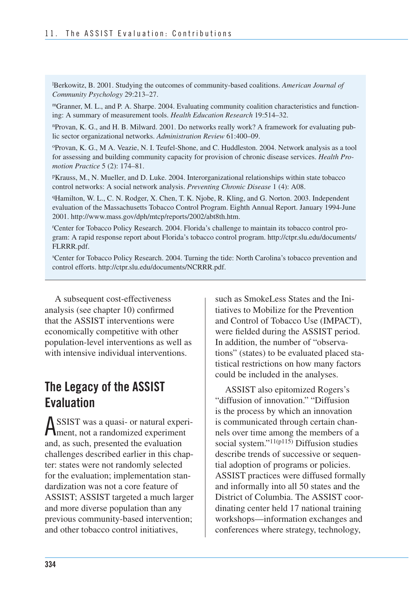l Berkowitz, B. 2001. Studying the outcomes of community-based coalitions. *American Journal of Community Psychology* 29:213–27.

mGranner, M. L., and P. A. Sharpe. 2004. Evaluating community coalition characteristics and functioning: A summary of measurement tools. *Health Education Research* 19:514–32.

nProvan, K. G., and H. B. Milward. 2001. Do networks really work? A framework for evaluating public sector organizational networks. *Administration Review* 61:400–09.

oProvan, K. G., M A. Veazie, N. I. Teufel-Shone, and C. Huddleston. 2004. Network analysis as a tool for assessing and building community capacity for provision of chronic disease services. *Health Promotion Practice* 5 (2): 174–81.

pKrauss, M., N. Mueller, and D. Luke. 2004. Interorganizational relationships within state tobacco control networks: A social network analysis. *Preventing Chronic Disease* 1 (4): A08.

qHamilton, W. L., C. N. Rodger, X. Chen, T. K. Njobe, R. Kling, and G. Norton. 2003. Independent evaluation of the Massachusetts Tobacco Control Program. Eighth Annual Report. January 1994-June 2001. http://www.mass.gov/dph/mtcp/reports/2002/abt8th.htm.

r Center for Tobacco Policy Research. 2004. Florida's challenge to maintain its tobacco control program: A rapid response report about Florida's tobacco control program. http://ctpr.slu.edu/documents/ FLRRR.pdf.

s Center for Tobacco Policy Research. 2004. Turning the tide: North Carolina's tobacco prevention and control efforts. http://ctpr.slu.edu/documents/NCRRR.pdf.

A subsequent cost-effectiveness analysis (see chapter 10) confirmed that the ASSIST interventions were economically competitive with other population-level interventions as well as with intensive individual interventions.

### **The Legacy of the ASSIST Evaluation**

ASSIST was a quasi- or natural experiment, not a randomized experiment and, as such, presented the evaluation challenges described earlier in this chapter: states were not randomly selected for the evaluation; implementation standardization was not a core feature of ASSIST; ASSIST targeted a much larger and more diverse population than any previous community-based intervention; and other tobacco control initiatives,

such as SmokeLess States and the Initiatives to Mobilize for the Prevention and Control of Tobacco Use (IMPACT), were fielded during the ASSIST period. In addition, the number of "observations" (states) to be evaluated placed statistical restrictions on how many factors could be included in the analyses.

ASSIST also epitomized Rogers's "diffusion of innovation." "Diffusion is the process by which an innovation is communicated through certain channels over time among the members of a social system."<sup>11(p115)</sup> Diffusion studies describe trends of successive or sequential adoption of programs or policies. ASSIST practices were diffused formally and informally into all 50 states and the District of Columbia. The ASSIST coordinating center held 17 national training workshops—information exchanges and conferences where strategy, technology,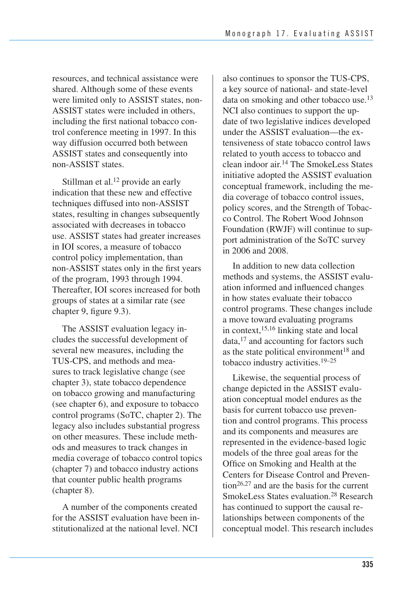resources, and technical assistance were shared. Although some of these events were limited only to ASSIST states, non-ASSIST states were included in others, including the first national tobacco control conference meeting in 1997. In this way diffusion occurred both between ASSIST states and consequently into non-ASSIST states.

Stillman et al.<sup>12</sup> provide an early indication that these new and effective techniques diffused into non-ASSIST states, resulting in changes subsequently associated with decreases in tobacco use. ASSIST states had greater increases in IOI scores, a measure of tobacco control policy implementation, than non-ASSIST states only in the first years of the program, 1993 through 1994. Thereafter, IOI scores increased for both groups of states at a similar rate (see chapter 9, figure 9.3).

 chapter 3), state tobacco dependence (see chapter 6), and exposure to tobacco The ASSIST evaluation legacy includes the successful development of several new measures, including the TUS-CPS, and methods and measures to track legislative change (see on tobacco growing and manufacturing control programs (SoTC, chapter 2). The legacy also includes substantial progress on other measures. These include methods and measures to track changes in media coverage of tobacco control topics (chapter 7) and tobacco industry actions that counter public health programs (chapter 8).

A number of the components created for the ASSIST evaluation have been institutionalized at the national level. NCI

also continues to sponsor the TUS-CPS, a key source of national- and state-level data on smoking and other tobacco use.<sup>13</sup> NCI also continues to support the update of two legislative indices developed under the ASSIST evaluation—the extensiveness of state tobacco control laws related to youth access to tobacco and clean indoor air.14 The SmokeLess States initiative adopted the ASSIST evaluation conceptual framework, including the media coverage of tobacco control issues, policy scores, and the Strength of Tobacco Control. The Robert Wood Johnson Foundation (RWJF) will continue to support administration of the SoTC survey in 2006 and 2008.

In addition to new data collection methods and systems, the ASSIST evaluation informed and influenced changes in how states evaluate their tobacco control programs. These changes include a move toward evaluating programs in context,  $15,16$  linking state and local  $data$ ,<sup>17</sup> and accounting for factors such as the state political environment<sup>18</sup> and tobacco industry activities.19–25

Likewise, the sequential process of change depicted in the ASSIST evaluation conceptual model endures as the basis for current tobacco use prevention and control programs. This process and its components and measures are represented in the evidence-based logic models of the three goal areas for the Office on Smoking and Health at the Centers for Disease Control and Prevention26,27 and are the basis for the current SmokeLess States evaluation.28 Research has continued to support the causal relationships between components of the conceptual model. This research includes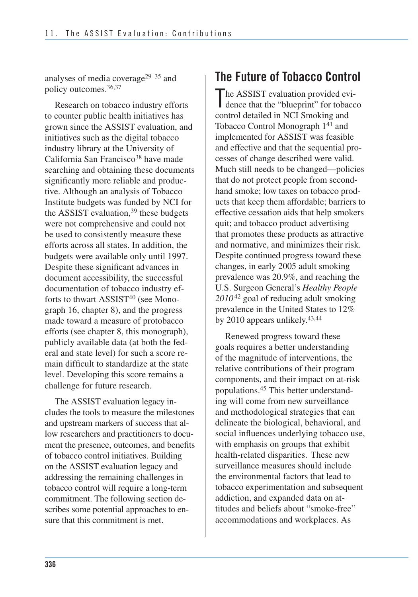analyses of media coverage29–35 and policy outcomes.36,37

Research on tobacco industry efforts to counter public health initiatives has grown since the ASSIST evaluation, and initiatives such as the digital tobacco industry library at the University of California San Francisco<sup>38</sup> have made searching and obtaining these documents significantly more reliable and productive. Although an analysis of Tobacco Institute budgets was funded by NCI for the ASSIST evaluation,  $39$  these budgets were not comprehensive and could not be used to consistently measure these efforts across all states. In addition, the budgets were available only until 1997. Despite these significant advances in document accessibility, the successful documentation of tobacco industry efforts to thwart ASSIST<sup>40</sup> (see Monograph 16, chapter 8), and the progress made toward a measure of protobacco efforts (see chapter 8, this monograph), publicly available data (at both the federal and state level) for such a score remain difficult to standardize at the state level. Developing this score remains a challenge for future research.

 The ASSIST evaluation legacy in- cludes the tools to measure the milestones and upstream markers of success that al- low researchers and practitioners to docu- ment the presence, outcomes, and benefits of tobacco control initiatives. Building on the ASSIST evaluation legacy and addressing the remaining challenges in tobacco control will require a long-term commitment. The following section describes some potential approaches to en-sure that this commitment is met.

# **The Future of Tobacco Control**

 he ASSIST evaluation provided evi-The ASSIST evaluation provided evidence that the "blueprint" for tobacco control detailed in NCI Smoking and Tobacco Control Monograph  $1^{41}$  and implemented for ASSIST was feasible and effective and that the sequential pro- cesses of change described were valid. Much still needs to be changed—policies that do not protect people from second- hand smoke; low taxes on tobacco prod- ucts that keep them affordable; barriers to effective cessation aids that help smokers quit; and tobacco product advertising that promotes these products as attractive and normative, and minimizes their risk. Despite continued progress toward these changes, in early 2005 adult smoking prevalence was 20.9%, and reaching the U.S. Surgeon General's *Healthy People 2010* 42 goal of reducing adult smoking prevalence in the United States to 12% by 2010 appears unlikely.<sup>43,44</sup>

Renewed progress toward these goals requires a better understanding of the magnitude of interventions, the relative contributions of their program components, and their impact on at-risk populations.45 This better understanding will come from new surveillance and methodological strategies that can delineate the biological, behavioral, and social influences underlying tobacco use, with emphasis on groups that exhibit health-related disparities. These new surveillance measures should include the environmental factors that lead to tobacco experimentation and subsequent addiction, and expanded data on attitudes and beliefs about "smoke-free" accommodations and workplaces. As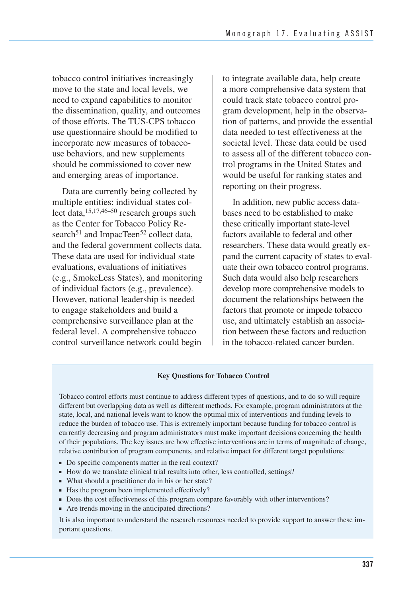tobacco control initiatives increasingly move to the state and local levels, we need to expand capabilities to monitor the dissemination, quality, and outcomes of those efforts. The TUS-CPS tobacco use questionnaire should be modified to incorporate new measures of tobaccouse behaviors, and new supplements should be commissioned to cover new and emerging areas of importance.

Data are currently being collected by multiple entities: individual states collect data,15,17,46–50 research groups such as the Center for Tobacco Policy Research<sup>51</sup> and ImpacTeen<sup>52</sup> collect data, and the federal government collects data. These data are used for individual state evaluations, evaluations of initiatives (e.g., SmokeLess States), and monitoring of individual factors (e.g., prevalence). However, national leadership is needed to engage stakeholders and build a comprehensive surveillance plan at the federal level. A comprehensive tobacco control surveillance network could begin

to integrate available data, help create a more comprehensive data system that could track state tobacco control program development, help in the observation of patterns, and provide the essential data needed to test effectiveness at the societal level. These data could be used to assess all of the different tobacco control programs in the United States and would be useful for ranking states and reporting on their progress.

 In addition, new public access data- bases need to be established to make these critically important state-level factors available to federal and other researchers. These data would greatly ex- pand the current capacity of states to eval- uate their own tobacco control programs. Such data would also help researchers develop more comprehensive models to document the relationships between the factors that promote or impede tobacco use, and ultimately establish an associa- tion between these factors and reduction in the tobacco-related cancer burden.

#### **Key Questions for Tobacco Control**

 Tobacco control efforts must continue to address different types of questions, and to do so will require different but overlapping data as well as different methods. For example, program administrators at the state, local, and national levels want to know the optimal mix of interventions and funding levels to reduce the burden of tobacco use. This is extremely important because funding for tobacco control is currently decreasing and program administrators must make important decisions concerning the health of their populations. The key issues are how effective interventions are in terms of magnitude of change, relative contribution of program components, and relative impact for different target populations:

- Do specific components matter in the real context?
- How do we translate clinical trial results into other, less controlled, settings?
- What should a practitioner do in his or her state?
- Has the program been implemented effectively?
- Does the cost effectiveness of this program compare favorably with other interventions?
- Are trends moving in the anticipated directions?

It is also important to understand the research resources needed to provide support to answer these important questions.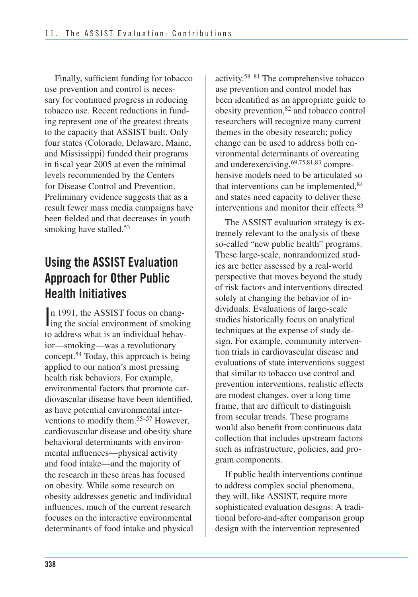Finally, sufficient funding for tobacco use prevention and control is necessary for continued progress in reducing tobacco use. Recent reductions in funding represent one of the greatest threats to the capacity that ASSIST built. Only four states (Colorado, Delaware, Maine, and Mississippi) funded their programs in fiscal year 2005 at even the minimal levels recommended by the Centers for Disease Control and Prevention. Preliminary evidence suggests that as a result fewer mass media campaigns have been fielded and that decreases in youth smoking have stalled.<sup>53</sup>

# **Using the ASSIST Evaluation Approach for Other Public Health Initiatives**

n 1991, the ASSIST focus on chang-<br>ing the social environment of smoking n 1991, the ASSIST focus on changto address what is an individual behavior—smoking—was a revolutionary concept.54 Today, this approach is being applied to our nation's most pressing health risk behaviors. For example, environmental factors that promote cardiovascular disease have been identified, as have potential environmental interventions to modify them.55–57 However, cardiovascular disease and obesity share behavioral determinants with environmental influences—physical activity and food intake—and the majority of the research in these areas has focused on obesity. While some research on obesity addresses genetic and individual influences, much of the current research focuses on the interactive environmental determinants of food intake and physical activity.58–81 The comprehensive tobacco use prevention and control model has been identified as an appropriate guide to obesity prevention,82 and tobacco control researchers will recognize many current themes in the obesity research; policy change can be used to address both environmental determinants of overeating and underexercising,69,75,81,83 comprehensive models need to be articulated so that interventions can be implemented,  $84$ and states need capacity to deliver these interventions and monitor their effects.83

The ASSIST evaluation strategy is extremely relevant to the analysis of these so-called "new public health" programs. These large-scale, nonrandomized studies are better assessed by a real-world perspective that moves beyond the study of risk factors and interventions directed solely at changing the behavior of individuals. Evaluations of large-scale studies historically focus on analytical techniques at the expense of study design. For example, community intervention trials in cardiovascular disease and evaluations of state interventions suggest that similar to tobacco use control and prevention interventions, realistic effects are modest changes, over a long time frame, that are difficult to distinguish from secular trends. These programs would also benefit from continuous data collection that includes upstream factors such as infrastructure, policies, and program components.

 If public health interventions continue to address complex social phenomena, they will, like ASSIST, require more sophisticated evaluation designs: A tradi- tional before-and-after comparison group design with the intervention represented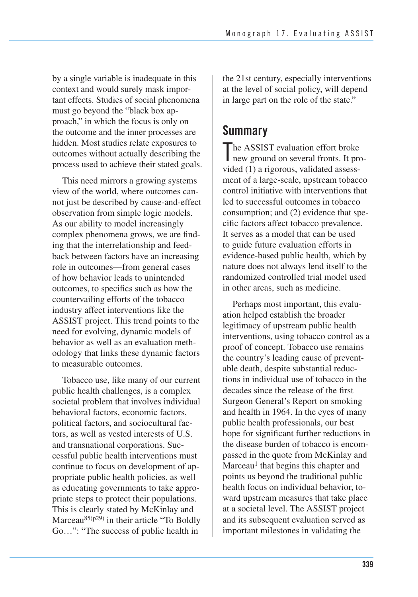by a single variable is inadequate in this context and would surely mask impor- tant effects. Studies of social phenomena must go beyond the "black box ap- proach," in which the focus is only on the outcome and the inner processes are hidden. Most studies relate exposures to outcomes without actually describing the process used to achieve their stated goals.

This need mirrors a growing systems view of the world, where outcomes cannot just be described by cause-and-effect observation from simple logic models. As our ability to model increasingly complex phenomena grows, we are finding that the interrelationship and feedback between factors have an increasing role in outcomes—from general cases of how behavior leads to unintended outcomes, to specifics such as how the countervailing efforts of the tobacco industry affect interventions like the ASSIST project. This trend points to the need for evolving, dynamic models of behavior as well as an evaluation methodology that links these dynamic factors to measurable outcomes.

Tobacco use, like many of our current public health challenges, is a complex societal problem that involves individual behavioral factors, economic factors, political factors, and sociocultural factors, as well as vested interests of U.S. and transnational corporations. Successful public health interventions must continue to focus on development of appropriate public health policies, as well as educating governments to take appropriate steps to protect their populations. This is clearly stated by McKinlay and Marceau85(p29) in their article "To Boldly Go…": "The success of public health in

the 21st century, especially interventions at the level of social policy, will depend in large part on the role of the state."

# **Summary**

The ASSIST evaluation effort broke<br>new ground on several fronts. It pro new ground on several fronts. It provided (1) a rigorous, validated assessment of a large-scale, upstream tobacco control initiative with interventions that led to successful outcomes in tobacco consumption; and (2) evidence that specific factors affect tobacco prevalence. It serves as a model that can be used to guide future evaluation efforts in evidence-based public health, which by nature does not always lend itself to the randomized controlled trial model used in other areas, such as medicine.

Perhaps most important, this evaluation helped establish the broader legitimacy of upstream public health interventions, using tobacco control as a proof of concept. Tobacco use remains the country's leading cause of preventable death, despite substantial reductions in individual use of tobacco in the decades since the release of the first Surgeon General's Report on smoking and health in 1964. In the eyes of many public health professionals, our best hope for significant further reductions in the disease burden of tobacco is encompassed in the quote from McKinlay and Marceau<sup>1</sup> that begins this chapter and points us beyond the traditional public health focus on individual behavior, toward upstream measures that take place at a societal level. The ASSIST project and its subsequent evaluation served as important milestones in validating the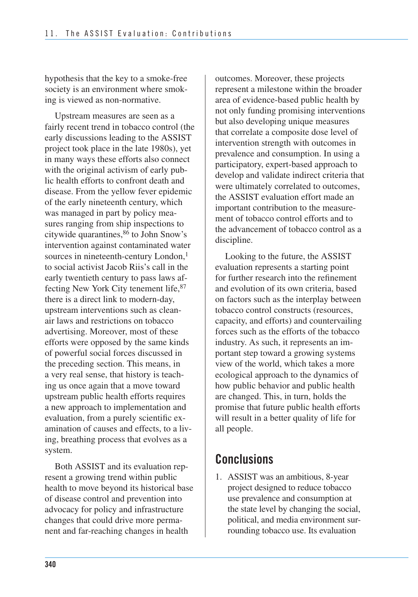hypothesis that the key to a smoke-free society is an environment where smoking is viewed as non-normative.

Upstream measures are seen as a fairly recent trend in tobacco control (the early discussions leading to the ASSIST project took place in the late 1980s), yet in many ways these efforts also connect with the original activism of early public health efforts to confront death and disease. From the yellow fever epidemic of the early nineteenth century, which was managed in part by policy measures ranging from ship inspections to citywide quarantines,86 to John Snow's intervention against contaminated water sources in nineteenth-century London,<sup>1</sup> to social activist Jacob Riis's call in the early twentieth century to pass laws affecting New York City tenement life,87 there is a direct link to modern-day, upstream interventions such as cleanair laws and restrictions on tobacco advertising. Moreover, most of these efforts were opposed by the same kinds of powerful social forces discussed in the preceding section. This means, in a very real sense, that history is teaching us once again that a move toward upstream public health efforts requires a new approach to implementation and evaluation, from a purely scientific examination of causes and effects, to a living, breathing process that evolves as a system.

Both ASSIST and its evaluation represent a growing trend within public health to move beyond its historical base of disease control and prevention into advocacy for policy and infrastructure changes that could drive more permanent and far-reaching changes in health

outcomes. Moreover, these projects represent a milestone within the broader area of evidence-based public health by not only funding promising interventions but also developing unique measures that correlate a composite dose level of intervention strength with outcomes in prevalence and consumption. In using a participatory, expert-based approach to develop and validate indirect criteria that were ultimately correlated to outcomes, the ASSIST evaluation effort made an important contribution to the measurement of tobacco control efforts and to the advancement of tobacco control as a discipline.

Looking to the future, the ASSIST evaluation represents a starting point for further research into the refinement and evolution of its own criteria, based on factors such as the interplay between tobacco control constructs (resources, capacity, and efforts) and countervailing forces such as the efforts of the tobacco industry. As such, it represents an important step toward a growing systems view of the world, which takes a more ecological approach to the dynamics of how public behavior and public health are changed. This, in turn, holds the promise that future public health efforts will result in a better quality of life for all people.

# **Conclusions**

 1. ASSIST was an ambitious, 8-year project designed to reduce tobacco use prevalence and consumption at the state level by changing the social, political, and media environment sur-rounding tobacco use. Its evaluation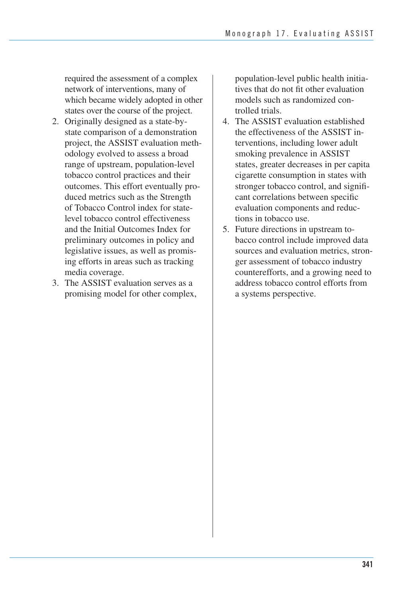required the assessment of a complex network of interventions, many of which became widely adopted in other states over the course of the project.

- 2. Originally designed as a state-bystate comparison of a demonstration project, the ASSIST evaluation methodology evolved to assess a broad range of upstream, population-level tobacco control practices and their outcomes. This effort eventually produced metrics such as the Strength of Tobacco Control index for statelevel tobacco control effectiveness and the Initial Outcomes Index for preliminary outcomes in policy and legislative issues, as well as promising efforts in areas such as tracking media coverage.
- 3. The ASSIST evaluation serves as a promising model for other complex,

population-level public health initiatives that do not fit other evaluation models such as randomized controlled trials.

- 4. The ASSIST evaluation established the effectiveness of the ASSIST interventions, including lower adult smoking prevalence in ASSIST states, greater decreases in per capita cigarette consumption in states with stronger tobacco control, and significant correlations between specific evaluation components and reductions in tobacco use.
- 5. Future directions in upstream tobacco control include improved data sources and evaluation metrics, stronger assessment of tobacco industry counterefforts, and a growing need to address tobacco control efforts from a systems perspective.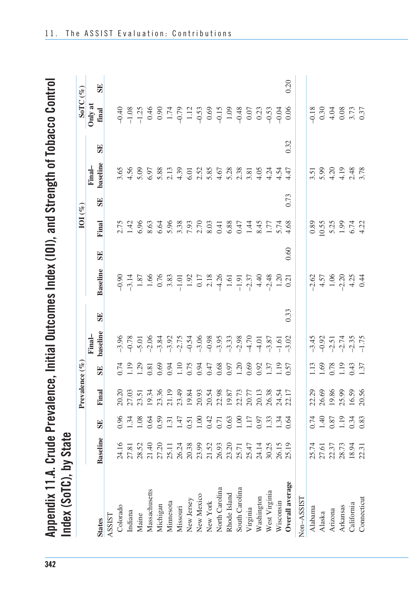Appendix 11.A. Crude Prevalence, Initial Outcomes Index (IOI), and Strength of Tobacco Control<br>Irelax (CaTO) List Crust

| Index (2016), Dy State |                                  |                                                     |                                  |                                                                             |                                                     |      |                                                                                                          |      |                                                               |      |                                               |      |                                          |      |
|------------------------|----------------------------------|-----------------------------------------------------|----------------------------------|-----------------------------------------------------------------------------|-----------------------------------------------------|------|----------------------------------------------------------------------------------------------------------|------|---------------------------------------------------------------|------|-----------------------------------------------|------|------------------------------------------|------|
|                        |                                  |                                                     | Prevalence (%                    |                                                                             |                                                     |      |                                                                                                          |      | $IOI (\%)$                                                    |      |                                               |      | SoTC $(\%)$                              |      |
|                        |                                  |                                                     |                                  |                                                                             | Final-                                              |      |                                                                                                          |      |                                                               |      | Final-                                        |      | Only at                                  |      |
| <b>States</b>          | <b>Baseline</b>                  | SE                                                  | Final                            | <b>SE</b>                                                                   | baseline                                            | SE   | Baseline                                                                                                 | SE   | Final                                                         | SE   | baseline                                      | SE   | final                                    | SE   |
| ASSIST                 |                                  |                                                     |                                  |                                                                             |                                                     |      |                                                                                                          |      |                                                               |      |                                               |      |                                          |      |
| Colorado               | 24.16                            | 96(                                                 |                                  |                                                                             |                                                     |      |                                                                                                          |      |                                                               |      |                                               |      |                                          |      |
| Indiana                | 27.81                            |                                                     |                                  |                                                                             |                                                     |      |                                                                                                          |      |                                                               |      |                                               |      |                                          |      |
| Maine                  | 28.52                            | 13835831450931589011263144<br>198483145093158901125 |                                  |                                                                             |                                                     |      |                                                                                                          |      | 2.75<br>1.42<br>5.63                                          |      |                                               |      |                                          |      |
| Massachusetts          | 21.40                            |                                                     |                                  |                                                                             |                                                     |      |                                                                                                          |      |                                                               |      |                                               |      |                                          |      |
| Michigan               |                                  |                                                     |                                  |                                                                             |                                                     |      |                                                                                                          |      | 6.64                                                          |      |                                               |      |                                          |      |
| Minnesota              | 27.20<br>25.11                   |                                                     |                                  |                                                                             |                                                     |      |                                                                                                          |      |                                                               |      |                                               |      |                                          |      |
| Missouri               |                                  |                                                     |                                  |                                                                             |                                                     |      |                                                                                                          |      |                                                               |      |                                               |      |                                          |      |
| New Jersey             |                                  |                                                     |                                  |                                                                             |                                                     |      |                                                                                                          |      |                                                               |      |                                               |      |                                          |      |
| New Mexico             | 26.24<br>20.38<br>23.99<br>21.52 |                                                     |                                  |                                                                             |                                                     |      |                                                                                                          |      |                                                               |      |                                               |      |                                          |      |
| New York               |                                  |                                                     |                                  |                                                                             |                                                     |      |                                                                                                          |      |                                                               |      |                                               |      |                                          |      |
| North Carolina         |                                  |                                                     |                                  |                                                                             |                                                     |      |                                                                                                          |      |                                                               |      |                                               |      |                                          |      |
| Rhode Island           | 26.93<br>23.20                   |                                                     |                                  |                                                                             |                                                     |      |                                                                                                          |      | 5.96<br>5.38<br>5.00 3.00 4.00<br>5.00 3.00 4.00<br>6.00 4.00 |      |                                               |      |                                          |      |
| South Carolina         |                                  |                                                     |                                  |                                                                             |                                                     |      |                                                                                                          |      |                                                               |      |                                               |      |                                          |      |
| Virginia               | 25.71<br>25.47                   |                                                     |                                  |                                                                             |                                                     |      |                                                                                                          |      | 1.44                                                          |      |                                               |      |                                          |      |
| Washington             | 24.14                            |                                                     |                                  |                                                                             |                                                     |      |                                                                                                          |      |                                                               |      |                                               |      |                                          |      |
| West Virginia          | 30.25                            |                                                     |                                  |                                                                             |                                                     |      |                                                                                                          |      | 8.45<br>1.77<br>4.68                                          |      |                                               |      |                                          |      |
| Wisconsin              |                                  |                                                     |                                  |                                                                             |                                                     |      |                                                                                                          |      |                                                               |      |                                               |      |                                          |      |
| Overall average        | 26.15<br>25.19                   |                                                     |                                  |                                                                             |                                                     | 0.33 |                                                                                                          | 0.60 |                                                               | 0.73 |                                               | 0.32 |                                          | 0.20 |
| Non-ASSIST             |                                  |                                                     |                                  |                                                                             |                                                     |      |                                                                                                          |      |                                                               |      |                                               |      |                                          |      |
| Alabama                |                                  |                                                     |                                  |                                                                             |                                                     |      |                                                                                                          |      |                                                               |      |                                               |      |                                          |      |
| Alaska                 | 25.74<br>27.61                   |                                                     |                                  |                                                                             |                                                     |      |                                                                                                          |      | $\frac{0.89}{0.55}$                                           |      |                                               |      |                                          |      |
| Arizona                | 22.37<br>28.73                   |                                                     |                                  |                                                                             |                                                     |      |                                                                                                          |      |                                                               |      |                                               |      |                                          |      |
| Arkansas               |                                  |                                                     |                                  |                                                                             |                                                     |      |                                                                                                          |      |                                                               |      |                                               |      |                                          |      |
| California             | 18.94                            | $0.74$<br>1.40<br>1.87<br>1.9<br>1.83<br>0.83       | 22.39<br>26.58<br>26.59<br>20.56 | $\begin{array}{c} 1.13 \\ 1.69 \\ 0.78 \\ 1.43 \\ 0.43 \\ 1.37 \end{array}$ | $-3.45$<br>$-0.92$<br>$-2.74$<br>$-2.35$<br>$-1.75$ |      | $7\frac{1}{4}$ + $-1\frac{1}{4}$ + $-1\frac{1}{4}$ + $-1\frac{1}{4}$ + $-1\frac{1}{4}$ + $-1\frac{1}{4}$ |      | $5.25$<br>$1.99$<br>$6.74$<br>$4.22$                          |      | $3.59$<br>$5.30$<br>$4.4$<br>$3.78$<br>$5.30$ |      | $0.3048$<br>$0.3048$<br>$0.37$<br>$0.37$ |      |
| Connecticut            | 22.31                            |                                                     |                                  |                                                                             |                                                     |      |                                                                                                          |      |                                                               |      |                                               |      |                                          |      |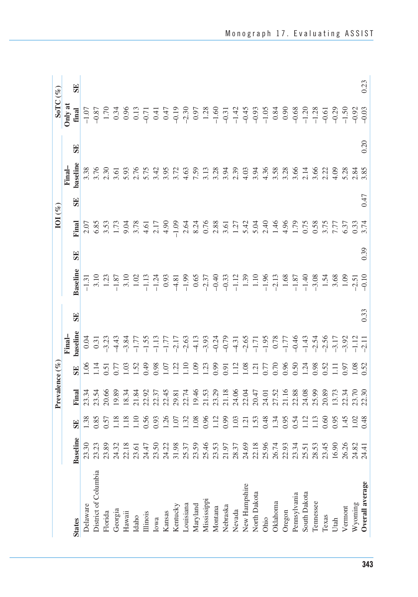|                      |                 |                   | Prevalence (% |                                                    |                                                                                   |           |                 |           | $IOI$ (%)                                                                                                                                                                                                                                                                 |           |                |           | SoTC $(\%)$                                                                                                                                                                                                                                                                                                                                                                           |           |
|----------------------|-----------------|-------------------|---------------|----------------------------------------------------|-----------------------------------------------------------------------------------|-----------|-----------------|-----------|---------------------------------------------------------------------------------------------------------------------------------------------------------------------------------------------------------------------------------------------------------------------------|-----------|----------------|-----------|---------------------------------------------------------------------------------------------------------------------------------------------------------------------------------------------------------------------------------------------------------------------------------------------------------------------------------------------------------------------------------------|-----------|
|                      |                 |                   |               |                                                    | Final-                                                                            |           |                 |           |                                                                                                                                                                                                                                                                           |           | Final-         |           | Only at                                                                                                                                                                                                                                                                                                                                                                               |           |
| <b>States</b>        | <b>Baseline</b> | <b>SE</b>         | Final         | <b>SE</b>                                          | baseline                                                                          | <b>SE</b> | <b>Baseline</b> | <b>SE</b> | Final                                                                                                                                                                                                                                                                     | <b>SE</b> | baseline       | <b>SE</b> | $\operatorname{final}$                                                                                                                                                                                                                                                                                                                                                                | <b>SE</b> |
| Delaware             | 23.30           |                   |               |                                                    | 0.04                                                                              |           |                 |           |                                                                                                                                                                                                                                                                           |           |                |           |                                                                                                                                                                                                                                                                                                                                                                                       |           |
| District of Columbia | 23.23           |                   |               |                                                    |                                                                                   |           |                 |           |                                                                                                                                                                                                                                                                           |           |                |           |                                                                                                                                                                                                                                                                                                                                                                                       |           |
| Florida              | 23.89           | $\frac{138}{157}$ |               |                                                    | $0.31$<br>$-3.23$                                                                 |           |                 |           |                                                                                                                                                                                                                                                                           |           |                |           |                                                                                                                                                                                                                                                                                                                                                                                       |           |
| Georgia              | 24.32           | $\frac{8}{1}$     |               | $1.5$<br>$-1.5$<br>$-1.6$<br>$-1.6$<br>$-1.6$      |                                                                                   |           |                 |           |                                                                                                                                                                                                                                                                           |           |                |           |                                                                                                                                                                                                                                                                                                                                                                                       |           |
| Hawaii               | 22.18           | $\frac{8}{10}$    |               |                                                    |                                                                                   |           |                 |           |                                                                                                                                                                                                                                                                           |           |                |           |                                                                                                                                                                                                                                                                                                                                                                                       |           |
| Idaho                | 23.61           | $\frac{10}{2}$    |               | 1.52<br>0.49<br>0.98<br>1.10<br>1.10               | ゚゚ヸゕヹヹヹヹゟヹ゙ゕヹゟヹゟヹゟヹヸゟヹゟヹヹ<br>ヸゕヹヿヹヹゖゟヹゔヸゟヹゟヹゟゟヹヸゟゟヹゟヹヹ<br>ヸゕヹヹヹヹヹゟヹゔヹゟヹゟヹゟヹヹ゚ゕヹゟヹ |           |                 |           | $\begin{array}{cccccc} 0.07 & 0.000 & 0.000 & 0.000 & 0.000 & 0.000 & 0.000 & 0.000 & 0.000 & 0.000 & 0.000 & 0.000 & 0.000 & 0.000 & 0.000 & 0.000 & 0.000 & 0.000 & 0.000 & 0.000 & 0.000 & 0.000 & 0.000 & 0.000 & 0.000 & 0.000 & 0.000 & 0.000 & 0.000 & 0.000 & 0.$ |           |                |           | $\begin{array}{l} \Xi_7 \to \Xi_8 \to \Xi_7 \to \Xi_7 \to \Xi_8 \to \Xi_7 \to \Xi_8 \to \Xi_7 \to \Xi_7 \to \Xi_7 \to \Xi_7 \to \Xi_7 \to \Xi_7 \to \Xi_7 \to \Xi_7 \to \Xi_7 \to \Xi_7 \to \Xi_7 \to \Xi_7 \to \Xi_7 \to \Xi_7 \to \Xi_7 \to \Xi_7 \to \Xi_7 \to \Xi_7 \to \Xi_7 \to \Xi_7 \to \Xi_7 \to \Xi_7 \to \Xi_7 \to \Xi_7 \to \Xi_7 \to \Xi_7 \to \Xi_7 \to \Xi_7 \to \Xi_$ |           |
| Illinois             | 24.47           | 0.56              |               |                                                    |                                                                                   |           |                 |           |                                                                                                                                                                                                                                                                           |           |                |           |                                                                                                                                                                                                                                                                                                                                                                                       |           |
| Iowa                 | 23.50           | 0.93              |               |                                                    |                                                                                   |           |                 |           |                                                                                                                                                                                                                                                                           |           |                |           |                                                                                                                                                                                                                                                                                                                                                                                       |           |
| Kansas               | 24.22           | 1.26              |               |                                                    |                                                                                   |           |                 |           |                                                                                                                                                                                                                                                                           |           |                |           |                                                                                                                                                                                                                                                                                                                                                                                       |           |
| Kentucky             | 31.98           | $\frac{5}{1}$ 32  |               |                                                    |                                                                                   |           |                 |           |                                                                                                                                                                                                                                                                           |           |                |           |                                                                                                                                                                                                                                                                                                                                                                                       |           |
| Louisiana            | 25.37           |                   |               |                                                    |                                                                                   |           |                 |           | 2.64                                                                                                                                                                                                                                                                      |           |                |           |                                                                                                                                                                                                                                                                                                                                                                                       |           |
| Maryland             | 23.59           | 0.08              |               |                                                    |                                                                                   |           |                 |           | 8.24                                                                                                                                                                                                                                                                      |           |                |           |                                                                                                                                                                                                                                                                                                                                                                                       |           |
| Mississippi          | 25.46           | 0.96              |               | $\frac{109}{1.23}$                                 |                                                                                   |           |                 |           |                                                                                                                                                                                                                                                                           |           |                |           |                                                                                                                                                                                                                                                                                                                                                                                       |           |
| Montana              | 23.53           | $\Xi$             |               |                                                    |                                                                                   |           |                 |           |                                                                                                                                                                                                                                                                           |           |                |           |                                                                                                                                                                                                                                                                                                                                                                                       |           |
| Nebraska             | 21.97           | 0.99              |               |                                                    |                                                                                   |           |                 |           |                                                                                                                                                                                                                                                                           |           |                |           |                                                                                                                                                                                                                                                                                                                                                                                       |           |
| Nevada               | 28.37           | 1.03              |               |                                                    |                                                                                   |           |                 |           |                                                                                                                                                                                                                                                                           |           |                |           |                                                                                                                                                                                                                                                                                                                                                                                       |           |
| New Hampshire        | 24.69           | $\overline{5}$    |               | 0.91<br>1.18 1.75 0.96 5.74<br>1.28 1.75 0.96 5.74 |                                                                                   |           |                 |           |                                                                                                                                                                                                                                                                           |           |                |           |                                                                                                                                                                                                                                                                                                                                                                                       |           |
| North Dakota         | 22.18           | $-53$             |               |                                                    |                                                                                   |           |                 |           |                                                                                                                                                                                                                                                                           |           |                |           |                                                                                                                                                                                                                                                                                                                                                                                       |           |
| Ohio                 | 25.96           | 0.48              |               |                                                    |                                                                                   |           |                 |           |                                                                                                                                                                                                                                                                           |           |                |           |                                                                                                                                                                                                                                                                                                                                                                                       |           |
| Oklahoma             | 26.74           | $\frac{34}{ }$    |               |                                                    |                                                                                   |           |                 |           |                                                                                                                                                                                                                                                                           |           |                |           |                                                                                                                                                                                                                                                                                                                                                                                       |           |
| Oregon               | 22.93           | 0.95              |               |                                                    |                                                                                   |           |                 |           |                                                                                                                                                                                                                                                                           |           |                |           |                                                                                                                                                                                                                                                                                                                                                                                       |           |
| Pennsylvania         | 23.34           | 0.54              |               |                                                    |                                                                                   |           |                 |           |                                                                                                                                                                                                                                                                           |           |                |           |                                                                                                                                                                                                                                                                                                                                                                                       |           |
| South Dakota         | 25.51           | $\Xi$             |               |                                                    |                                                                                   |           |                 |           |                                                                                                                                                                                                                                                                           |           |                |           |                                                                                                                                                                                                                                                                                                                                                                                       |           |
| Tennessee            | 28.53           | $\Xi$             |               | 0.98                                               |                                                                                   |           |                 |           |                                                                                                                                                                                                                                                                           |           |                |           |                                                                                                                                                                                                                                                                                                                                                                                       |           |
| Texas                | 23.45           | 0.60              |               | .52                                                |                                                                                   |           |                 |           |                                                                                                                                                                                                                                                                           |           |                |           |                                                                                                                                                                                                                                                                                                                                                                                       |           |
| Utah                 | 16.90           | 0.95              |               | Ξ                                                  |                                                                                   |           |                 |           |                                                                                                                                                                                                                                                                           |           |                |           |                                                                                                                                                                                                                                                                                                                                                                                       |           |
| Vermont              | 26.26           | $-45$             |               | 9.97                                               |                                                                                   |           |                 |           |                                                                                                                                                                                                                                                                           |           | $5.28$<br>2.84 |           |                                                                                                                                                                                                                                                                                                                                                                                       |           |
| Wyoming              | 24.82           | $\frac{02}{1}$    |               |                                                    |                                                                                   |           |                 |           |                                                                                                                                                                                                                                                                           |           |                |           |                                                                                                                                                                                                                                                                                                                                                                                       |           |
| Overall average      | 24.41           |                   |               | .52                                                |                                                                                   | 0.33      |                 | 0.39      |                                                                                                                                                                                                                                                                           | 0.47      | 3.85           | 0.20      |                                                                                                                                                                                                                                                                                                                                                                                       | 0.23      |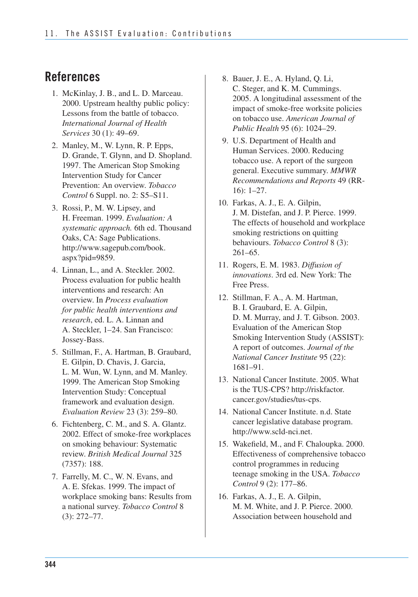### **References**

- 1. McKinlay, J. B., and L. D. Marceau. 2000. Upstream healthy public policy: Lessons from the battle of tobacco. *International Journal of Health Services* 30 (1): 49–69.
- 2. Manley, M., W. Lynn, R. P. Epps, D. Grande, T. Glynn, and D. Shopland. 1997. The American Stop Smoking Intervention Study for Cancer Prevention: An overview. *Tobacco Control* 6 Suppl. no. 2: S5–S11.
- 3. Rossi, P., M. W. Lipsey, and H. Freeman. 1999. *Evaluation: A systematic approach.* 6th ed. Thousand Oaks, CA: Sage Publications. http://www.sagepub.com/book. aspx?pid=9859.
- 4. Linnan, L., and A. Steckler. 2002. Process evaluation for public health interventions and research: An overview. In *Process evaluation for public health interventions and research*, ed. L. A. Linnan and A. Steckler, 1–24. San Francisco: Jossey-Bass.
- 5. Stillman, F., A. Hartman, B. Graubard, E. Gilpin, D. Chavis, J. Garcia, L. M. Wun, W. Lynn, and M. Manley. 1999. The American Stop Smoking Intervention Study: Conceptual framework and evaluation design. *Evaluation Review* 23 (3): 259–80.
- 6. Fichtenberg, C. M., and S. A. Glantz. 2002. Effect of smoke-free workplaces on smoking behaviour: Systematic review. *British Medical Journal* 325 (7357): 188.
- 7. Farrelly, M. C., W. N. Evans, and A. E. Sfekas. 1999. The impact of workplace smoking bans: Results from a national survey. *Tobacco Control* 8 (3): 272–77.
- 8. Bauer, J. E., A. Hyland, Q. Li, C. Steger, and K. M. Cummings. 2005. A longitudinal assessment of the impact of smoke-free worksite policies on tobacco use. *American Journal of Public Health* 95 (6): 1024–29.
- 9. U.S. Department of Health and Human Services. 2000. Reducing tobacco use. A report of the surgeon general. Executive summary. *MMWR Recommendations and Reports* 49 (RR-16): 1–27.
- 10. Farkas, A. J., E. A. Gilpin, J. M. Distefan, and J. P. Pierce. 1999. The effects of household and workplace smoking restrictions on quitting behaviours. *Tobacco Control* 8 (3): 261–65.
- 11. Rogers, E. M. 1983. *Diffusion of innovations*. 3rd ed. New York: The Free Press.
- D. M. Murray, and J. T. Gibson. 2003. 12. Stillman, F. A., A. M. Hartman, B. I. Graubard, E. A. Gilpin, Evaluation of the American Stop Smoking Intervention Study (ASSIST): A report of outcomes. *Journal of the National Cancer Institute* 95 (22): 1681–91.
- 13. National Cancer Institute. 2005. What is the TUS-CPS? http://riskfactor. cancer.gov/studies/tus-cps.
- 14. National Cancer Institute. n.d. State cancer legislative database program. http://www.scld-nci.net.
- 15. Wakefield, M., and F. Chaloupka. 2000. Effectiveness of comprehensive tobacco control programmes in reducing teenage smoking in the USA. *Tobacco Control* 9 (2): 177–86.
- 16. Farkas, A. J., E. A. Gilpin, M. M. White, and J. P. Pierce. 2000. Association between household and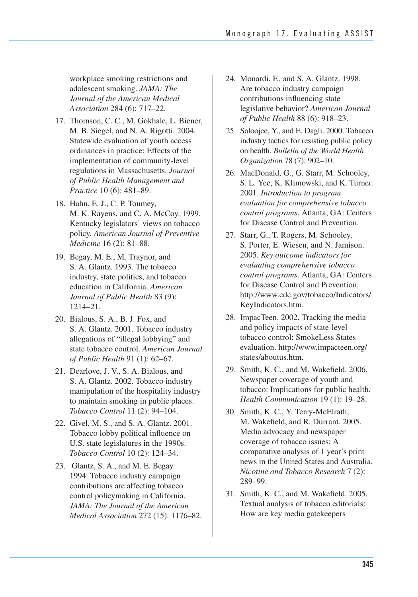workplace smoking restrictions and adolescent smoking. *JAMA: The Journal of the American Medical Association* 284 (6): 717–22.

- 17. Thomson, C. C., M. Gokhale, L. Biener, M. B. Siegel, and N. A. Rigotti. 2004. Statewide evaluation of youth access ordinances in practice: Effects of the implementation of community-level regulations in Massachusetts. *Journal of Public Health Management and Practice* 10 (6): 481–89.
- 18. Hahn, E. J., C. P. Toumey, M. K. Rayens, and C. A. McCoy. 1999. Kentucky legislators' views on tobacco policy. *American Journal of Preventive Medicine* 16 (2): 81–88.
- 19. Begay, M. E., M. Traynor, and S. A. Glantz. 1993. The tobacco industry, state politics, and tobacco education in California. *American Journal of Public Health* 83 (9): 1214–21.
- 20. Bialous, S. A., B. J. Fox, and S. A. Glantz. 2001. Tobacco industry allegations of "illegal lobbying" and state tobacco control. *American Journal of Public Health* 91 (1): 62–67.
- 21. Dearlove, J. V., S. A. Bialous, and S. A. Glantz. 2002. Tobacco industry manipulation of the hospitality industry to maintain smoking in public places. *Tobacco Control* 11 (2): 94–104.
- 22. Givel, M. S., and S. A. Glantz. 2001. Tobacco lobby political influence on U.S. state legislatures in the 1990s. *Tobacco Control* 10 (2): 124–34.
- 1994. Tobacco industry campaign contributions are affecting tobacco control policymaking in California.  *JAMA: The Journal of the American Medical Association* 272 (15): 1176–82. 23. Glantz, S. A., and M. E. Begay.
- 24. Monardi, F., and S. A. Glantz. 1998. Are tobacco industry campaign contributions influencing state legislative behavior? *American Journal of Public Health* 88 (6): 918–23.
- industry tactics for resisting public policy on health. *Bulletin of the World Health Organization* 78 (7): 902–10. 25. Saloojee, Y., and E. Dagli. 2000. Tobacco
- 26. MacDonald, G., G. Starr, M. Schooley, S. L. Yee, K. Klimowski, and K. Turner. 2001. *Introduction to program evaluation for comprehensive tobacco control programs*. Atlanta, GA: Centers for Disease Control and Prevention.
- 27. Starr, G., T. Rogers, M. Schooley, S. Porter, E. Wiesen, and N. Jamison. 2005. *Key outcome indicators for evaluating comprehensive tobacco control programs*. Atlanta, GA: Centers for Disease Control and Prevention. http://www.cdc.gov/tobacco/Indicators/ KeyIndicators.htm.
- 28. ImpacTeen. 2002. Tracking the media and policy impacts of state-level tobacco control: SmokeLess States evaluation. http://www.impacteen.org/ states/aboutus.htm.
- 29. Smith, K. C., and M. Wakefield. 2006. Newspaper coverage of youth and tobacco: Implications for public health. *Health Communication* 19 (1): 19–28.
- 30. Smith, K. C., Y. Terry-McElrath, M. Wakefield, and R. Durrant. 2005. Media advocacy and newspaper coverage of tobacco issues: A comparative analysis of 1 year's print news in the United States and Australia. *Nicotine and Tobacco Research* 7 (2): 289–99.
- 31. Smith, K. C., and M. Wakefield. 2005. Textual analysis of tobacco editorials: How are key media gatekeepers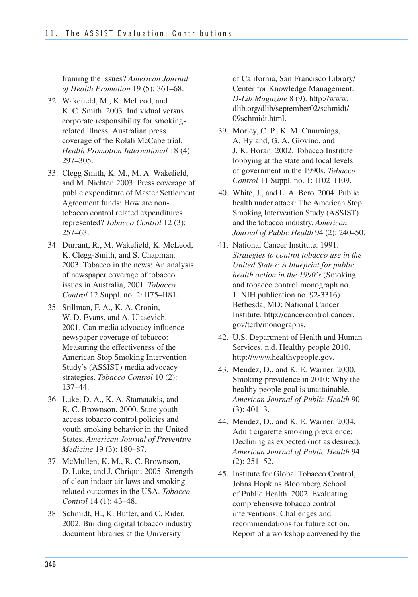framing the issues? *American Journal of Health Promotion* 19 (5): 361–68.

- 32. Wakefield, M., K. McLeod, and K. C. Smith. 2003. Individual versus corporate responsibility for smokingrelated illness: Australian press coverage of the Rolah McCabe trial. *Health Promotion International* 18 (4): 297–305.
- 33. Clegg Smith, K. M., M. A. Wakefield, and M. Nichter. 2003. Press coverage of public expenditure of Master Settlement Agreement funds: How are nontobacco control related expenditures represented? *Tobacco Control* 12 (3): 257–63.
- 34. Durrant, R., M. Wakefield, K. McLeod, K. Clegg-Smith, and S. Chapman. 2003. Tobacco in the news: An analysis of newspaper coverage of tobacco issues in Australia, 2001. *Tobacco Control* 12 Suppl. no. 2: II75–II81.
- 35. Stillman, F. A., K. A. Cronin, W. D. Evans, and A. Ulasevich. 2001. Can media advocacy influence newspaper coverage of tobacco: Measuring the effectiveness of the American Stop Smoking Intervention Study's (ASSIST) media advocacy strategies. *Tobacco Control* 10 (2): 137–44.
- 36. Luke, D. A., K. A. Stamatakis, and R. C. Brownson. 2000. State youthaccess tobacco control policies and youth smoking behavior in the United States. *American Journal of Preventive Medicine* 19 (3): 180–87.
- 37. McMullen, K. M., R. C. Brownson, D. Luke, and J. Chriqui. 2005. Strength of clean indoor air laws and smoking related outcomes in the USA. *Tobacco Control* 14 (1): 43–48.
- 38. Schmidt, H., K. Butter, and C. Rider. 2002. Building digital tobacco industry document libraries at the University

of California, San Francisco Library/ Center for Knowledge Management. *D-Lib Magazine* 8 (9). http://www. dlib.org/dlib/september02/schmidt/ 09schmidt.html.

- 39. Morley, C. P., K. M. Cummings, A. Hyland, G. A. Giovino, and J. K. Horan. 2002. Tobacco Institute lobbying at the state and local levels of government in the 1990s. *Tobacco Control* 11 Suppl. no. 1: I102–I109.
- health under attack: The American Stop Smoking Intervention Study (ASSIST) and the tobacco industry. *American Journal of Public Health* 94 (2): 240–50. 40. White, J., and L. A. Bero. 2004. Public
- 41. National Cancer Institute. 1991. *Strategies to control tobacco use in the United States: A blueprint for public health action in the 1990's* (Smoking and tobacco control monograph no. 1, NIH publication no. 92-3316). Bethesda, MD: National Cancer Institute. http://cancercontrol.cancer. gov/tcrb/monographs.
- 42. U.S. Department of Health and Human Services. n.d. Healthy people 2010. http://www.healthypeople.gov.
- 43. Mendez, D., and K. E. Warner. 2000. Smoking prevalence in 2010: Why the healthy people goal is unattainable. *American Journal of Public Health* 90 (3): 401–3.
- 44. Mendez, D., and K. E. Warner. 2004. Adult cigarette smoking prevalence: Declining as expected (not as desired). *American Journal of Public Health* 94 (2): 251–52.
- 45. Institute for Global Tobacco Control, Johns Hopkins Bloomberg School of Public Health. 2002. Evaluating comprehensive tobacco control interventions: Challenges and recommendations for future action. Report of a workshop convened by the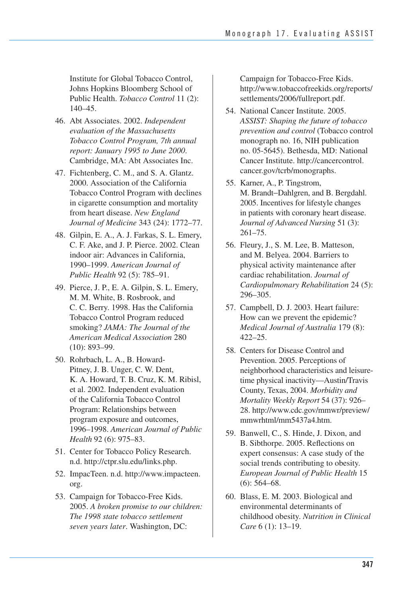Institute for Global Tobacco Control, Johns Hopkins Bloomberg School of Public Health. *Tobacco Control* 11 (2): 140–45.

- 46. Abt Associates. 2002. *Independent evaluation of the Massachusetts Tobacco Control Program, 7th annual report: January 1995 to June 2000*. Cambridge, MA: Abt Associates Inc.
- 47. Fichtenberg, C. M., and S. A. Glantz. 2000. Association of the California Tobacco Control Program with declines in cigarette consumption and mortality from heart disease. *New England Journal of Medicine* 343 (24): 1772–77.
- 48. Gilpin, E. A., A. J. Farkas, S. L. Emery, C. F. Ake, and J. P. Pierce. 2002. Clean indoor air: Advances in California, 1990–1999. *American Journal of Public Health* 92 (5): 785–91.
- 49. Pierce, J. P., E. A. Gilpin, S. L. Emery, M. M. White, B. Rosbrook, and C. C. Berry. 1998. Has the California Tobacco Control Program reduced smoking? *JAMA: The Journal of the American Medical Association* 280 (10): 893–99.
- Pitney, J. B. Unger, C. W. Dent, K. A. Howard, T. B. Cruz, K. M. Ribisl, et al. 2002. Independent evaluation of the California Tobacco Control program exposure and outcomes,  1996–1998. *American Journal of Public Health* 92 (6): 975–83. 50. Rohrbach, L. A., B. Howard-Program: Relationships between
- 51. Center for Tobacco Policy Research. n.d. http://ctpr.slu.edu/links.php.
- 52. ImpacTeen. n.d. http://www.impacteen. org.
- 53. Campaign for Tobacco-Free Kids. 2005. *A broken promise to our children: The 1998 state tobacco settlement seven years later*. Washington, DC:

Campaign for Tobacco-Free Kids. http://www.tobaccofreekids.org/reports/ settlements/2006/fullreport.pdf.

- 54. National Cancer Institute. 2005. *ASSIST: Shaping the future of tobacco prevention and control* (Tobacco control monograph no. 16, NIH publication no. 05-5645). Bethesda, MD: National Cancer Institute. http://cancercontrol. cancer.gov/tcrb/monographs.
- M. Brandt−Dahlgren, and B. Bergdahl. 2005. Incentives for lifestyle changes in patients with coronary heart disease.  *Journal of Advanced Nursing* 51 (3): 55. Karner, A., P. Tingstrom, 261–75.
- 56. Fleury, J., S. M. Lee, B. Matteson, and M. Belyea. 2004. Barriers to physical activity maintenance after cardiac rehabilitation. *Journal of Cardiopulmonary Rehabilitation* 24 (5): 296–305.
- 57. Campbell, D. J. 2003. Heart failure: How can we prevent the epidemic? *Medical Journal of Australia* 179 (8): 422–25.
- Prevention. 2005. Perceptions of neighborhood characteristics and leisure- time physical inactivity—Austin/Travis County, Texas, 2004. *Morbidity and Mortality Weekly Report* 54 (37): 926– 58. Centers for Disease Control and 28. http://www.cdc.gov/mmwr/preview/ mmwrhtml/mm5437a4.htm.
- 59. Banwell, C., S. Hinde, J. Dixon, and B. Sibthorpe. 2005. Reflections on expert consensus: A case study of the social trends contributing to obesity. *European Journal of Public Health* 15 (6): 564–68.
- 60. Blass, E. M. 2003. Biological and environmental determinants of childhood obesity. *Nutrition in Clinical Care* 6 (1): 13–19.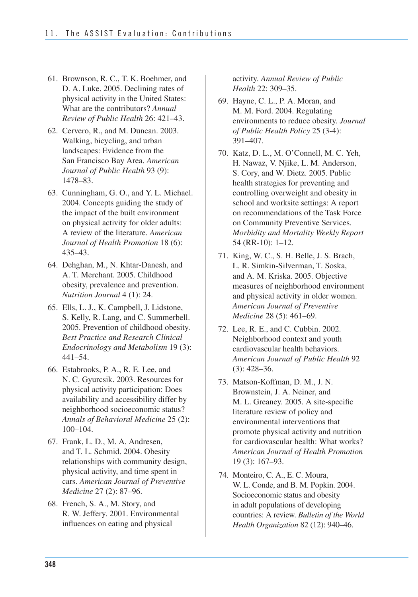- 61. Brownson, R. C., T. K. Boehmer, and D. A. Luke. 2005. Declining rates of physical activity in the United States: What are the contributors? *Annual Review of Public Health* 26: 421–43.
- 62. Cervero, R., and M. Duncan. 2003. Walking, bicycling, and urban landscapes: Evidence from the San Francisco Bay Area. *American Journal of Public Health* 93 (9): 1478–83.
- 63. Cunningham, G. O., and Y. L. Michael. 2004. Concepts guiding the study of the impact of the built environment on physical activity for older adults: A review of the literature. *American Journal of Health Promotion* 18 (6): 435–43.
- 64. Dehghan, M., N. Khtar-Danesh, and A. T. Merchant. 2005. Childhood obesity, prevalence and prevention. *Nutrition Journal* 4 (1): 24.
- 65. Ells, L. J., K. Campbell, J. Lidstone, S. Kelly, R. Lang, and C. Summerbell. 2005. Prevention of childhood obesity. *Best Practice and Research Clinical Endocrinology and Metabolism* 19 (3): 441–54.
- 66. Estabrooks, P. A., R. E. Lee, and N. C. Gyurcsik. 2003. Resources for physical activity participation: Does availability and accessibility differ by neighborhood socioeconomic status? *Annals of Behavioral Medicine* 25 (2): 100–104.
- 67. Frank, L. D., M. A. Andresen, and T. L. Schmid. 2004. Obesity relationships with community design, physical activity, and time spent in cars. *American Journal of Preventive Medicine* 27 (2): 87–96.
- 68. French, S. A., M. Story, and R. W. Jeffery. 2001. Environmental influences on eating and physical

activity. *Annual Review of Public Health* 22: 309–35.

- 69. Hayne, C. L., P. A. Moran, and M. M. Ford. 2004. Regulating environments to reduce obesity. *Journal of Public Health Policy* 25 (3-4): 391–407.
- 70. Katz, D. L., M. O'Connell, M. C. Yeh, H. Nawaz, V. Njike, L. M. Anderson, S. Cory, and W. Dietz. 2005. Public health strategies for preventing and controlling overweight and obesity in school and worksite settings: A report on recommendations of the Task Force on Community Preventive Services. *Morbidity and Mortality Weekly Report*  54 (RR-10): 1–12.
- 71. King, W. C., S. H. Belle, J. S. Brach, L. R. Simkin-Silverman, T. Soska, and A. M. Kriska. 2005. Objective measures of neighborhood environment and physical activity in older women. *American Journal of Preventive Medicine* 28 (5): 461–69.
- 72. Lee, R. E., and C. Cubbin. 2002. Neighborhood context and youth cardiovascular health behaviors. *American Journal of Public Health* 92 (3): 428–36.
- 73. Matson-Koffman, D. M., J. N. Brownstein, J. A. Neiner, and M. L. Greaney. 2005. A site-specific literature review of policy and environmental interventions that promote physical activity and nutrition for cardiovascular health: What works? *American Journal of Health Promotion*  19 (3): 167–93.
- W. L. Conde, and B. M. Popkin. 2004. Socioeconomic status and obesity in adult populations of developing countries: A review. *Bulletin of the World Health Organization* 82 (12): 940–46. 74. Monteiro, C. A., E. C. Moura,